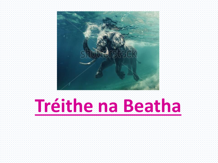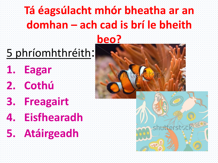## **Tá éagsúlacht mhór bheatha ar an domhan – ach cad is brí le bheith**

#### **beo?**

# 5 phríomhthréith:

**1. Eagar 2. Cothú**

# **3. Freagairt**

**4. Eisfhearadh**



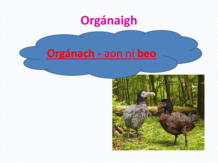

### **Orgánach -** aon ní **beo**

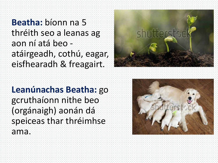**Beatha:** bíonn na 5 thréith seo a leanas ag aon ní atá beo atáirgeadh, cothú, eagar, eisfhearadh & freagairt.



#### **Leanúnachas Beatha:** go gcruthaíonn nithe beo (orgánaigh) aonán dá speiceas thar thréimhse ama.

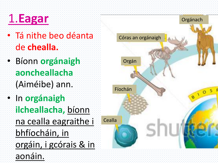

- Tá nithe beo déanta de **chealla.**
- Bíonn **orgánaigh aoncheallacha** (Aiméibe) ann. • In **orgánaigh ilcheallacha,** bíonn na cealla eagraithe i bhfíocháin, in orgáin, i gcórais & in aonáin.

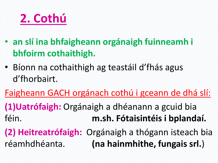

- **an slí ina bhfaigheann orgánaigh fuinneamh i bhfoirm cothaithigh.**
- Bíonn na cothaithigh ag teastáil d'fhás agus d'fhorbairt.
- Faigheann GACH orgánach cothú i gceann de dhá slí:
- **(1)Uatrófaigh:** Orgánaigh a dhéanann a gcuid bia féin. **m.sh. Fótaisintéis i bplandaí.**
- **(2) Heitreatrófaigh:** Orgánaigh a thógann isteach bia réamhdhéanta. **(na hainmhithe, fungais srl.**)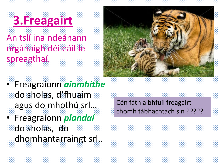## **3.Freagairt**

### An tslí ina ndeánann orgánaigh déileáil le spreagthaí.



- Freagraíonn *ainmhithe* do sholas, d'fhuaim agus do mhothú srl…
- Freagraíonn *plandaí* do sholas, do dhomhantarraingt srl..

Cén fáth a bhfuil freagairt chomh tábhachtach sin ?????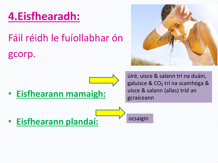## **4.Eisfhearadh:**

## Fáil réidh le fuíollabhar ón

#### gcorp.

### • **Eisfhearann mamaigh:**

úiré, uisce & salann trí na duáin, galuisce & CO₂ trí na scamhóga & uisce & salann (allas) tríd an gcraiceann

• **Eisfhearann plandaí:**

ocsaigin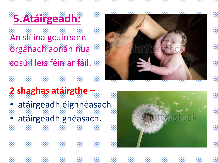## **5.Atáirgeadh:**

An slí ina gcuireann orgánach aonán nua cosúil leis féin ar fáil.



- **2 shaghas atáirgthe –**
- atáirgeadh éighnéasach
- atáirgeadh gnéasach.